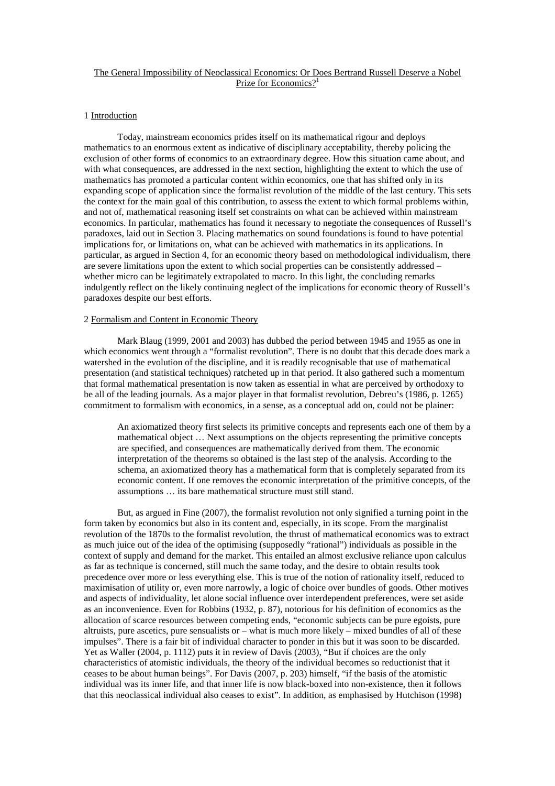### The General Impossibility of Neoclassical Economics: Or Does Bertrand Russell Deserve a Nobel Prize for Economics?<sup>1</sup>

#### 1 Introduction

 Today, mainstream economics prides itself on its mathematical rigour and deploys mathematics to an enormous extent as indicative of disciplinary acceptability, thereby policing the exclusion of other forms of economics to an extraordinary degree. How this situation came about, and with what consequences, are addressed in the next section, highlighting the extent to which the use of mathematics has promoted a particular content within economics, one that has shifted only in its expanding scope of application since the formalist revolution of the middle of the last century. This sets the context for the main goal of this contribution, to assess the extent to which formal problems within, and not of, mathematical reasoning itself set constraints on what can be achieved within mainstream economics. In particular, mathematics has found it necessary to negotiate the consequences of Russell's paradoxes, laid out in Section 3. Placing mathematics on sound foundations is found to have potential implications for, or limitations on, what can be achieved with mathematics in its applications. In particular, as argued in Section 4, for an economic theory based on methodological individualism, there are severe limitations upon the extent to which social properties can be consistently addressed – whether micro can be legitimately extrapolated to macro. In this light, the concluding remarks indulgently reflect on the likely continuing neglect of the implications for economic theory of Russell's paradoxes despite our best efforts.

#### 2 Formalism and Content in Economic Theory

 Mark Blaug (1999, 2001 and 2003) has dubbed the period between 1945 and 1955 as one in which economics went through a "formalist revolution". There is no doubt that this decade does mark a watershed in the evolution of the discipline, and it is readily recognisable that use of mathematical presentation (and statistical techniques) ratcheted up in that period. It also gathered such a momentum that formal mathematical presentation is now taken as essential in what are perceived by orthodoxy to be all of the leading journals. As a major player in that formalist revolution, Debreu's (1986, p. 1265) commitment to formalism with economics, in a sense, as a conceptual add on, could not be plainer:

An axiomatized theory first selects its primitive concepts and represents each one of them by a mathematical object … Next assumptions on the objects representing the primitive concepts are specified, and consequences are mathematically derived from them. The economic interpretation of the theorems so obtained is the last step of the analysis. According to the schema, an axiomatized theory has a mathematical form that is completely separated from its economic content. If one removes the economic interpretation of the primitive concepts, of the assumptions … its bare mathematical structure must still stand.

 But, as argued in Fine (2007), the formalist revolution not only signified a turning point in the form taken by economics but also in its content and, especially, in its scope. From the marginalist revolution of the 1870s to the formalist revolution, the thrust of mathematical economics was to extract as much juice out of the idea of the optimising (supposedly "rational") individuals as possible in the context of supply and demand for the market. This entailed an almost exclusive reliance upon calculus as far as technique is concerned, still much the same today, and the desire to obtain results took precedence over more or less everything else. This is true of the notion of rationality itself, reduced to maximisation of utility or, even more narrowly, a logic of choice over bundles of goods. Other motives and aspects of individuality, let alone social influence over interdependent preferences, were set aside as an inconvenience. Even for Robbins (1932, p. 87), notorious for his definition of economics as the allocation of scarce resources between competing ends, "economic subjects can be pure egoists, pure altruists, pure ascetics, pure sensualists or  $-$  what is much more likely  $-$  mixed bundles of all of these impulses". There is a fair bit of individual character to ponder in this but it was soon to be discarded. Yet as Waller (2004, p. 1112) puts it in review of Davis (2003), "But if choices are the only characteristics of atomistic individuals, the theory of the individual becomes so reductionist that it ceases to be about human beings". For Davis (2007, p. 203) himself, "if the basis of the atomistic individual was its inner life, and that inner life is now black-boxed into non-existence, then it follows that this neoclassical individual also ceases to exist". In addition, as emphasised by Hutchison (1998)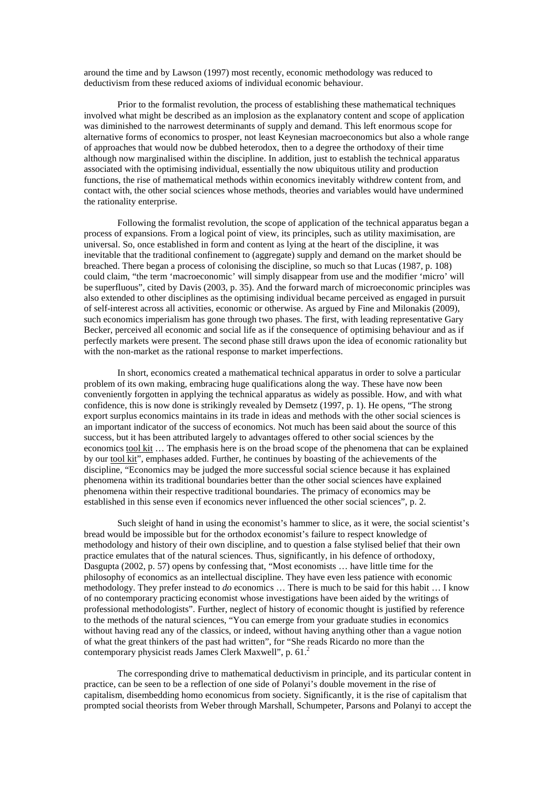around the time and by Lawson (1997) most recently, economic methodology was reduced to deductivism from these reduced axioms of individual economic behaviour.

 Prior to the formalist revolution, the process of establishing these mathematical techniques involved what might be described as an implosion as the explanatory content and scope of application was diminished to the narrowest determinants of supply and demand. This left enormous scope for alternative forms of economics to prosper, not least Keynesian macroeconomics but also a whole range of approaches that would now be dubbed heterodox, then to a degree the orthodoxy of their time although now marginalised within the discipline. In addition, just to establish the technical apparatus associated with the optimising individual, essentially the now ubiquitous utility and production functions, the rise of mathematical methods within economics inevitably withdrew content from, and contact with, the other social sciences whose methods, theories and variables would have undermined the rationality enterprise.

Following the formalist revolution, the scope of application of the technical apparatus began a process of expansions. From a logical point of view, its principles, such as utility maximisation, are universal. So, once established in form and content as lying at the heart of the discipline, it was inevitable that the traditional confinement to (aggregate) supply and demand on the market should be breached. There began a process of colonising the discipline, so much so that Lucas (1987, p. 108) could claim, "the term 'macroeconomic' will simply disappear from use and the modifier 'micro' will be superfluous", cited by Davis (2003, p. 35). And the forward march of microeconomic principles was also extended to other disciplines as the optimising individual became perceived as engaged in pursuit of self-interest across all activities, economic or otherwise. As argued by Fine and Milonakis (2009), such economics imperialism has gone through two phases. The first, with leading representative Gary Becker, perceived all economic and social life as if the consequence of optimising behaviour and as if perfectly markets were present. The second phase still draws upon the idea of economic rationality but with the non-market as the rational response to market imperfections.

In short, economics created a mathematical technical apparatus in order to solve a particular problem of its own making, embracing huge qualifications along the way. These have now been conveniently forgotten in applying the technical apparatus as widely as possible. How, and with what confidence, this is now done is strikingly revealed by Demsetz (1997, p. 1). He opens, "The strong export surplus economics maintains in its trade in ideas and methods with the other social sciences is an important indicator of the success of economics. Not much has been said about the source of this success, but it has been attributed largely to advantages offered to other social sciences by the economics tool kit … The emphasis here is on the broad scope of the phenomena that can be explained by our tool kit", emphases added. Further, he continues by boasting of the achievements of the discipline, "Economics may be judged the more successful social science because it has explained phenomena within its traditional boundaries better than the other social sciences have explained phenomena within their respective traditional boundaries. The primacy of economics may be established in this sense even if economics never influenced the other social sciences", p. 2.

Such sleight of hand in using the economist's hammer to slice, as it were, the social scientist's bread would be impossible but for the orthodox economist's failure to respect knowledge of methodology and history of their own discipline, and to question a false stylised belief that their own practice emulates that of the natural sciences. Thus, significantly, in his defence of orthodoxy, Dasgupta (2002, p. 57) opens by confessing that, "Most economists … have little time for the philosophy of economics as an intellectual discipline. They have even less patience with economic methodology. They prefer instead to *do* economics … There is much to be said for this habit … I know of no contemporary practicing economist whose investigations have been aided by the writings of professional methodologists". Further, neglect of history of economic thought is justified by reference to the methods of the natural sciences, "You can emerge from your graduate studies in economics without having read any of the classics, or indeed, without having anything other than a vague notion of what the great thinkers of the past had written", for "She reads Ricardo no more than the contemporary physicist reads James Clerk Maxwell", p. 61.<sup>2</sup>

 The corresponding drive to mathematical deductivism in principle, and its particular content in practice, can be seen to be a reflection of one side of Polanyi's double movement in the rise of capitalism, disembedding homo economicus from society. Significantly, it is the rise of capitalism that prompted social theorists from Weber through Marshall, Schumpeter, Parsons and Polanyi to accept the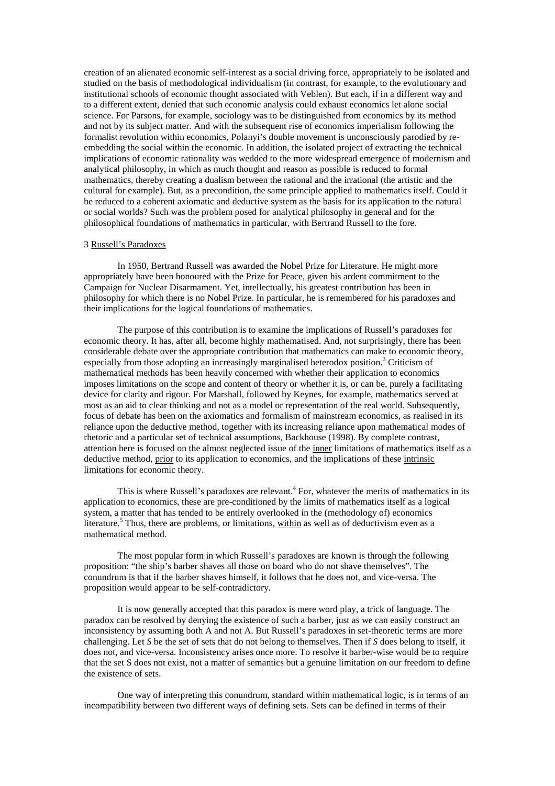creation of an alienated economic self-interest as a social driving force, appropriately to be isolated and studied on the basis of methodological individualism (in contrast, for example, to the evolutionary and institutional schools of economic thought associated with Veblen). But each, if in a different way and to a different extent, denied that such economic analysis could exhaust economics let alone social science. For Parsons, for example, sociology was to be distinguished from economics by its method and not by its subject matter. And with the subsequent rise of economics imperialism following the formalist revolution within economics, Polanyi's double movement is unconsciously parodied by reembedding the social within the economic. In addition, the isolated project of extracting the technical implications of economic rationality was wedded to the more widespread emergence of modernism and analytical philosophy, in which as much thought and reason as possible is reduced to formal mathematics, thereby creating a dualism between the rational and the irrational (the artistic and the cultural for example). But, as a precondition, the same principle applied to mathematics itself. Could it be reduced to a coherent axiomatic and deductive system as the basis for its application to the natural or social worlds? Such was the problem posed for analytical philosophy in general and for the philosophical foundations of mathematics in particular, with Bertrand Russell to the fore.

### 3 Russell's Paradoxes

In 1950, Bertrand Russell was awarded the Nobel Prize for Literature. He might more appropriately have been honoured with the Prize for Peace, given his ardent commitment to the Campaign for Nuclear Disarmament. Yet, intellectually, his greatest contribution has been in philosophy for which there is no Nobel Prize. In particular, he is remembered for his paradoxes and their implications for the logical foundations of mathematics.

 The purpose of this contribution is to examine the implications of Russell's paradoxes for economic theory. It has, after all, become highly mathematised. And, not surprisingly, there has been considerable debate over the appropriate contribution that mathematics can make to economic theory, especially from those adopting an increasingly marginalised heterodox position.<sup>3</sup> Criticism of mathematical methods has been heavily concerned with whether their application to economics imposes limitations on the scope and content of theory or whether it is, or can be, purely a facilitating device for clarity and rigour. For Marshall, followed by Keynes, for example, mathematics served at most as an aid to clear thinking and not as a model or representation of the real world. Subsequently, focus of debate has been on the axiomatics and formalism of mainstream economics, as realised in its reliance upon the deductive method, together with its increasing reliance upon mathematical modes of rhetoric and a particular set of technical assumptions, Backhouse (1998). By complete contrast, attention here is focused on the almost neglected issue of the inner limitations of mathematics itself as a deductive method, prior to its application to economics, and the implications of these intrinsic limitations for economic theory.

This is where Russell's paradoxes are relevant.<sup>4</sup> For, whatever the merits of mathematics in its application to economics, these are pre-conditioned by the limits of mathematics itself as a logical system, a matter that has tended to be entirely overlooked in the (methodology of) economics literature.<sup>5</sup> Thus, there are problems, or limitations, within as well as of deductivism even as a mathematical method.

 The most popular form in which Russell's paradoxes are known is through the following proposition: "the ship's barber shaves all those on board who do not shave themselves". The conundrum is that if the barber shaves himself, it follows that he does not, and vice-versa. The proposition would appear to be self-contradictory.

 It is now generally accepted that this paradox is mere word play, a trick of language. The paradox can be resolved by denying the existence of such a barber, just as we can easily construct an inconsistency by assuming both A and not A. But Russell's paradoxes in set-theoretic terms are more challenging. Let *S* be the set of sets that do not belong to themselves. Then if *S* does belong to itself, it does not, and vice-versa. Inconsistency arises once more. To resolve it barber-wise would be to require that the set S does not exist, not a matter of semantics but a genuine limitation on our freedom to define the existence of sets.

 One way of interpreting this conundrum, standard within mathematical logic, is in terms of an incompatibility between two different ways of defining sets. Sets can be defined in terms of their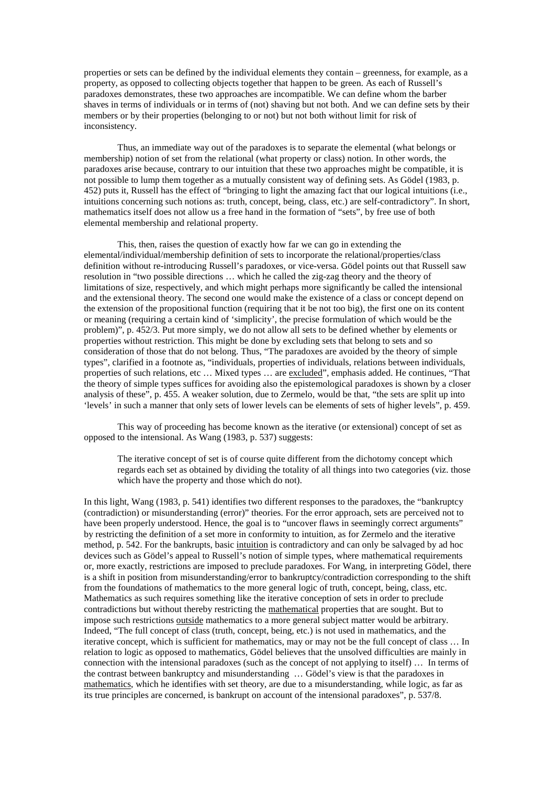properties or sets can be defined by the individual elements they contain – greenness, for example, as a property, as opposed to collecting objects together that happen to be green. As each of Russell's paradoxes demonstrates, these two approaches are incompatible. We can define whom the barber shaves in terms of individuals or in terms of (not) shaving but not both. And we can define sets by their members or by their properties (belonging to or not) but not both without limit for risk of inconsistency.

Thus, an immediate way out of the paradoxes is to separate the elemental (what belongs or membership) notion of set from the relational (what property or class) notion. In other words, the paradoxes arise because, contrary to our intuition that these two approaches might be compatible, it is not possible to lump them together as a mutually consistent way of defining sets. As Gödel (1983, p. 452) puts it, Russell has the effect of "bringing to light the amazing fact that our logical intuitions (i.e., intuitions concerning such notions as: truth, concept, being, class, etc.) are self-contradictory". In short, mathematics itself does not allow us a free hand in the formation of "sets", by free use of both elemental membership and relational property.

This, then, raises the question of exactly how far we can go in extending the elemental/individual/membership definition of sets to incorporate the relational/properties/class definition without re-introducing Russell's paradoxes, or vice-versa. Gödel points out that Russell saw resolution in "two possible directions … which he called the zig-zag theory and the theory of limitations of size, respectively, and which might perhaps more significantly be called the intensional and the extensional theory. The second one would make the existence of a class or concept depend on the extension of the propositional function (requiring that it be not too big), the first one on its content or meaning (requiring a certain kind of 'simplicity', the precise formulation of which would be the problem)", p. 452/3. Put more simply, we do not allow all sets to be defined whether by elements or properties without restriction. This might be done by excluding sets that belong to sets and so consideration of those that do not belong. Thus, "The paradoxes are avoided by the theory of simple types", clarified in a footnote as, "individuals, properties of individuals, relations between individuals, properties of such relations, etc … Mixed types … are excluded", emphasis added. He continues, "That the theory of simple types suffices for avoiding also the epistemological paradoxes is shown by a closer analysis of these", p. 455. A weaker solution, due to Zermelo, would be that, "the sets are split up into 'levels' in such a manner that only sets of lower levels can be elements of sets of higher levels", p. 459.

 This way of proceeding has become known as the iterative (or extensional) concept of set as opposed to the intensional. As Wang (1983, p. 537) suggests:

The iterative concept of set is of course quite different from the dichotomy concept which regards each set as obtained by dividing the totality of all things into two categories (viz. those which have the property and those which do not).

In this light, Wang (1983, p. 541) identifies two different responses to the paradoxes, the "bankruptcy (contradiction) or misunderstanding (error)" theories. For the error approach, sets are perceived not to have been properly understood. Hence, the goal is to "uncover flaws in seemingly correct arguments" by restricting the definition of a set more in conformity to intuition, as for Zermelo and the iterative method, p. 542. For the bankrupts, basic intuition is contradictory and can only be salvaged by ad hoc devices such as Gödel's appeal to Russell's notion of simple types, where mathematical requirements or, more exactly, restrictions are imposed to preclude paradoxes. For Wang, in interpreting Gödel, there is a shift in position from misunderstanding/error to bankruptcy/contradiction corresponding to the shift from the foundations of mathematics to the more general logic of truth, concept, being, class, etc. Mathematics as such requires something like the iterative conception of sets in order to preclude contradictions but without thereby restricting the mathematical properties that are sought. But to impose such restrictions outside mathematics to a more general subject matter would be arbitrary. Indeed, "The full concept of class (truth, concept, being, etc.) is not used in mathematics, and the iterative concept, which is sufficient for mathematics, may or may not be the full concept of class … In relation to logic as opposed to mathematics, Gödel believes that the unsolved difficulties are mainly in connection with the intensional paradoxes (such as the concept of not applying to itself) … In terms of the contrast between bankruptcy and misunderstanding … Gödel's view is that the paradoxes in mathematics, which he identifies with set theory, are due to a misunderstanding, while logic, as far as its true principles are concerned, is bankrupt on account of the intensional paradoxes", p. 537/8.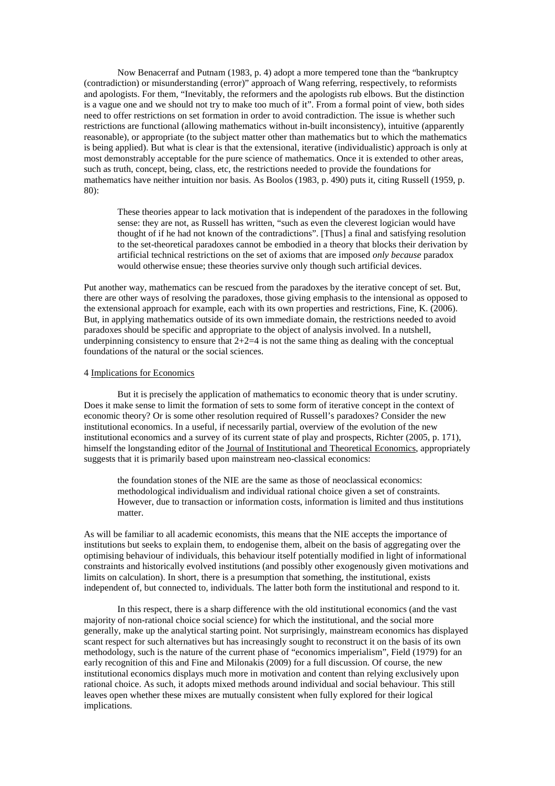Now Benacerraf and Putnam (1983, p. 4) adopt a more tempered tone than the "bankruptcy (contradiction) or misunderstanding (error)" approach of Wang referring, respectively, to reformists and apologists. For them, "Inevitably, the reformers and the apologists rub elbows. But the distinction is a vague one and we should not try to make too much of it". From a formal point of view, both sides need to offer restrictions on set formation in order to avoid contradiction. The issue is whether such restrictions are functional (allowing mathematics without in-built inconsistency), intuitive (apparently reasonable), or appropriate (to the subject matter other than mathematics but to which the mathematics is being applied). But what is clear is that the extensional, iterative (individualistic) approach is only at most demonstrably acceptable for the pure science of mathematics. Once it is extended to other areas, such as truth, concept, being, class, etc, the restrictions needed to provide the foundations for mathematics have neither intuition nor basis. As Boolos (1983, p. 490) puts it, citing Russell (1959, p. 80):

These theories appear to lack motivation that is independent of the paradoxes in the following sense: they are not, as Russell has written, "such as even the cleverest logician would have thought of if he had not known of the contradictions". [Thus] a final and satisfying resolution to the set-theoretical paradoxes cannot be embodied in a theory that blocks their derivation by artificial technical restrictions on the set of axioms that are imposed *only because* paradox would otherwise ensue; these theories survive only though such artificial devices.

Put another way, mathematics can be rescued from the paradoxes by the iterative concept of set. But, there are other ways of resolving the paradoxes, those giving emphasis to the intensional as opposed to the extensional approach for example, each with its own properties and restrictions, Fine, K. (2006). But, in applying mathematics outside of its own immediate domain, the restrictions needed to avoid paradoxes should be specific and appropriate to the object of analysis involved. In a nutshell, underpinning consistency to ensure that  $2+2=4$  is not the same thing as dealing with the conceptual foundations of the natural or the social sciences.

### 4 Implications for Economics

 But it is precisely the application of mathematics to economic theory that is under scrutiny. Does it make sense to limit the formation of sets to some form of iterative concept in the context of economic theory? Or is some other resolution required of Russell's paradoxes? Consider the new institutional economics. In a useful, if necessarily partial, overview of the evolution of the new institutional economics and a survey of its current state of play and prospects, Richter (2005, p. 171), himself the longstanding editor of the Journal of Institutional and Theoretical Economics, appropriately suggests that it is primarily based upon mainstream neo-classical economics:

the foundation stones of the NIE are the same as those of neoclassical economics: methodological individualism and individual rational choice given a set of constraints. However, due to transaction or information costs, information is limited and thus institutions matter.

As will be familiar to all academic economists, this means that the NIE accepts the importance of institutions but seeks to explain them, to endogenise them, albeit on the basis of aggregating over the optimising behaviour of individuals, this behaviour itself potentially modified in light of informational constraints and historically evolved institutions (and possibly other exogenously given motivations and limits on calculation). In short, there is a presumption that something, the institutional, exists independent of, but connected to, individuals. The latter both form the institutional and respond to it.

In this respect, there is a sharp difference with the old institutional economics (and the vast majority of non-rational choice social science) for which the institutional, and the social more generally, make up the analytical starting point. Not surprisingly, mainstream economics has displayed scant respect for such alternatives but has increasingly sought to reconstruct it on the basis of its own methodology, such is the nature of the current phase of "economics imperialism", Field (1979) for an early recognition of this and Fine and Milonakis (2009) for a full discussion. Of course, the new institutional economics displays much more in motivation and content than relying exclusively upon rational choice. As such, it adopts mixed methods around individual and social behaviour. This still leaves open whether these mixes are mutually consistent when fully explored for their logical implications.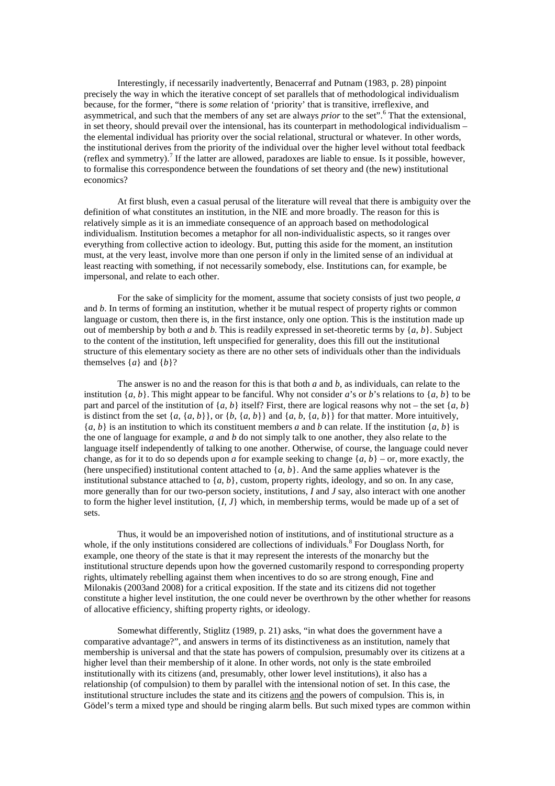Interestingly, if necessarily inadvertently, Benacerraf and Putnam (1983, p. 28) pinpoint precisely the way in which the iterative concept of set parallels that of methodological individualism because, for the former, "there is *some* relation of 'priority' that is transitive, irreflexive, and asymmetrical, and such that the members of any set are always *prior* to the set".<sup>6</sup> That the extensional, in set theory, should prevail over the intensional, has its counterpart in methodological individualism – the elemental individual has priority over the social relational, structural or whatever. In other words, the institutional derives from the priority of the individual over the higher level without total feedback (reflex and symmetry).<sup>7</sup> If the latter are allowed, paradoxes are liable to ensue. Is it possible, however, to formalise this correspondence between the foundations of set theory and (the new) institutional economics?

 At first blush, even a casual perusal of the literature will reveal that there is ambiguity over the definition of what constitutes an institution, in the NIE and more broadly. The reason for this is relatively simple as it is an immediate consequence of an approach based on methodological individualism. Institution becomes a metaphor for all non-individualistic aspects, so it ranges over everything from collective action to ideology. But, putting this aside for the moment, an institution must, at the very least, involve more than one person if only in the limited sense of an individual at least reacting with something, if not necessarily somebody, else. Institutions can, for example, be impersonal, and relate to each other.

 For the sake of simplicity for the moment, assume that society consists of just two people, *a* and *b*. In terms of forming an institution, whether it be mutual respect of property rights or common language or custom, then there is, in the first instance, only one option. This is the institution made up out of membership by both *a* and *b*. This is readily expressed in set-theoretic terms by {*a*, *b*}. Subject to the content of the institution, left unspecified for generality, does this fill out the institutional structure of this elementary society as there are no other sets of individuals other than the individuals themselves  $\{a\}$  and  $\{b\}$ ?

 The answer is no and the reason for this is that both *a* and *b*, as individuals, can relate to the institution  $\{a, b\}$ . This might appear to be fanciful. Why not consider *a*'s or *b*'s relations to  $\{a, b\}$  to be part and parcel of the institution of  $\{a, b\}$  itself? First, there are logical reasons why not – the set  $\{a, b\}$ is distinct from the set  $\{a, \{a, b\}\}\$ or  $\{b, \{a, b\}\}$  and  $\{a, b, \{a, b\}\}$  for that matter. More intuitively,  ${a, b}$  is an institution to which its constituent members *a* and *b* can relate. If the institution  ${a, b}$  is the one of language for example, *a* and *b* do not simply talk to one another, they also relate to the language itself independently of talking to one another. Otherwise, of course, the language could never change, as for it to do so depends upon *a* for example seeking to change  $\{a, b\}$  – or, more exactly, the (here unspecified) institutional content attached to  ${a, b}$ . And the same applies whatever is the institutional substance attached to  $\{a, b\}$ , custom, property rights, ideology, and so on. In any case, more generally than for our two-person society, institutions, *I* and *J* say, also interact with one another to form the higher level institution,  $\{I, J\}$  which, in membership terms, would be made up of a set of sets.

Thus, it would be an impoverished notion of institutions, and of institutional structure as a whole, if the only institutions considered are collections of individuals.<sup>8</sup> For Douglass North, for example, one theory of the state is that it may represent the interests of the monarchy but the institutional structure depends upon how the governed customarily respond to corresponding property rights, ultimately rebelling against them when incentives to do so are strong enough, Fine and Milonakis (2003and 2008) for a critical exposition. If the state and its citizens did not together constitute a higher level institution, the one could never be overthrown by the other whether for reasons of allocative efficiency, shifting property rights, or ideology.

Somewhat differently, Stiglitz (1989, p. 21) asks, "in what does the government have a comparative advantage?", and answers in terms of its distinctiveness as an institution, namely that membership is universal and that the state has powers of compulsion, presumably over its citizens at a higher level than their membership of it alone. In other words, not only is the state embroiled institutionally with its citizens (and, presumably, other lower level institutions), it also has a relationship (of compulsion) to them by parallel with the intensional notion of set. In this case, the institutional structure includes the state and its citizens and the powers of compulsion. This is, in Gödel's term a mixed type and should be ringing alarm bells. But such mixed types are common within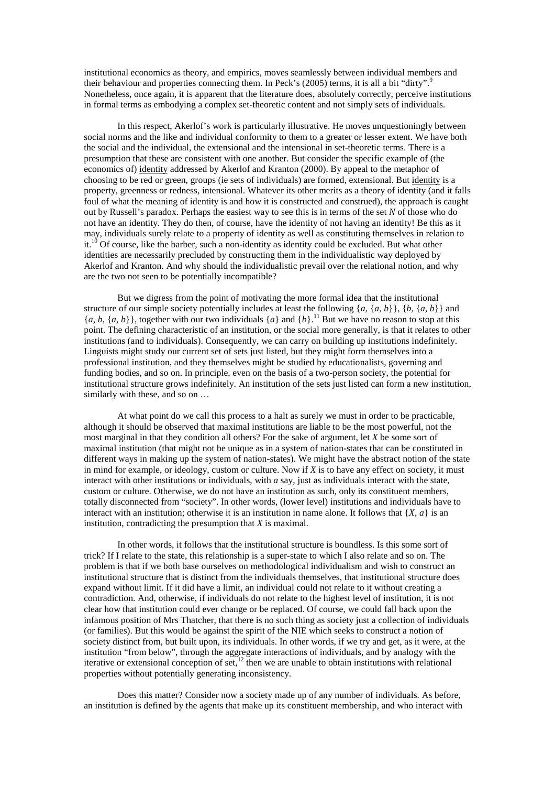institutional economics as theory, and empirics, moves seamlessly between individual members and their behaviour and properties connecting them. In Peck's (2005) terms, it is all a bit "dirty". Nonetheless, once again, it is apparent that the literature does, absolutely correctly, perceive institutions in formal terms as embodying a complex set-theoretic content and not simply sets of individuals.

In this respect, Akerlof's work is particularly illustrative. He moves unquestioningly between social norms and the like and individual conformity to them to a greater or lesser extent. We have both the social and the individual, the extensional and the intensional in set-theoretic terms. There is a presumption that these are consistent with one another. But consider the specific example of (the economics of) identity addressed by Akerlof and Kranton (2000). By appeal to the metaphor of choosing to be red or green, groups (ie sets of individuals) are formed, extensional. But identity is a property, greenness or redness, intensional. Whatever its other merits as a theory of identity (and it falls foul of what the meaning of identity is and how it is constructed and construed), the approach is caught out by Russell's paradox. Perhaps the easiest way to see this is in terms of the set *N* of those who do not have an identity. They do then, of course, have the identity of not having an identity! Be this as it may, individuals surely relate to a property of identity as well as constituting themselves in relation to it.<sup>10</sup> Of course, like the barber, such a non-identity as identity could be excluded. But what other identities are necessarily precluded by constructing them in the individualistic way deployed by Akerlof and Kranton. And why should the individualistic prevail over the relational notion, and why are the two not seen to be potentially incompatible?

But we digress from the point of motivating the more formal idea that the institutional structure of our simple society potentially includes at least the following  $\{a, \{a, b\}\}, \{b, \{a, b\}\}\$  and  ${a, b, {a, b}}$ , together with our two individuals  ${a}$  and  ${b}$ .<sup>11</sup> But we have no reason to stop at this point. The defining characteristic of an institution, or the social more generally, is that it relates to other institutions (and to individuals). Consequently, we can carry on building up institutions indefinitely. Linguists might study our current set of sets just listed, but they might form themselves into a professional institution, and they themselves might be studied by educationalists, governing and funding bodies, and so on. In principle, even on the basis of a two-person society, the potential for institutional structure grows indefinitely. An institution of the sets just listed can form a new institution, similarly with these, and so on …

 At what point do we call this process to a halt as surely we must in order to be practicable, although it should be observed that maximal institutions are liable to be the most powerful, not the most marginal in that they condition all others? For the sake of argument, let *X* be some sort of maximal institution (that might not be unique as in a system of nation-states that can be constituted in different ways in making up the system of nation-states). We might have the abstract notion of the state in mind for example, or ideology, custom or culture. Now if *X* is to have any effect on society, it must interact with other institutions or individuals, with *a* say, just as individuals interact with the state, custom or culture. Otherwise, we do not have an institution as such, only its constituent members, totally disconnected from "society". In other words, (lower level) institutions and individuals have to interact with an institution; otherwise it is an institution in name alone. It follows that  ${X, a}$  is an institution, contradicting the presumption that *X* is maximal.

 In other words, it follows that the institutional structure is boundless. Is this some sort of trick? If I relate to the state, this relationship is a super-state to which I also relate and so on. The problem is that if we both base ourselves on methodological individualism and wish to construct an institutional structure that is distinct from the individuals themselves, that institutional structure does expand without limit. If it did have a limit, an individual could not relate to it without creating a contradiction. And, otherwise, if individuals do not relate to the highest level of institution, it is not clear how that institution could ever change or be replaced. Of course, we could fall back upon the infamous position of Mrs Thatcher, that there is no such thing as society just a collection of individuals (or families). But this would be against the spirit of the NIE which seeks to construct a notion of society distinct from, but built upon, its individuals. In other words, if we try and get, as it were, at the institution "from below", through the aggregate interactions of individuals, and by analogy with the iterative or extensional conception of set, $\frac{12}{2}$  then we are unable to obtain institutions with relational properties without potentially generating inconsistency.

 Does this matter? Consider now a society made up of any number of individuals. As before, an institution is defined by the agents that make up its constituent membership, and who interact with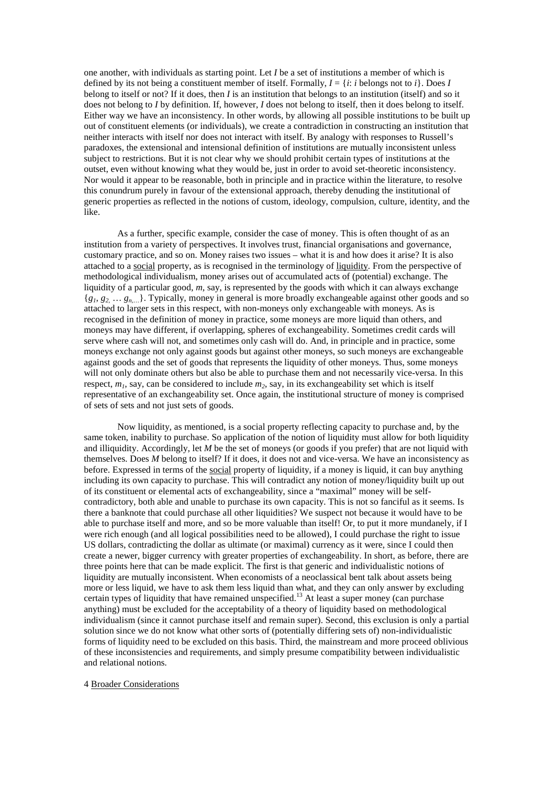one another, with individuals as starting point. Let *I* be a set of institutions a member of which is defined by its not being a constituent member of itself. Formally,  $I = \{i : i \text{ belongs to } i\}$ . Does *I* belong to itself or not? If it does, then *I* is an institution that belongs to an institution (itself) and so it does not belong to *I* by definition. If, however, *I* does not belong to itself, then it does belong to itself. Either way we have an inconsistency. In other words, by allowing all possible institutions to be built up out of constituent elements (or individuals), we create a contradiction in constructing an institution that neither interacts with itself nor does not interact with itself. By analogy with responses to Russell's paradoxes, the extensional and intensional definition of institutions are mutually inconsistent unless subject to restrictions. But it is not clear why we should prohibit certain types of institutions at the outset, even without knowing what they would be, just in order to avoid set-theoretic inconsistency. Nor would it appear to be reasonable, both in principle and in practice within the literature, to resolve this conundrum purely in favour of the extensional approach, thereby denuding the institutional of generic properties as reflected in the notions of custom, ideology, compulsion, culture, identity, and the like.

 As a further, specific example, consider the case of money. This is often thought of as an institution from a variety of perspectives. It involves trust, financial organisations and governance, customary practice, and so on. Money raises two issues – what it is and how does it arise? It is also attached to a social property, as is recognised in the terminology of liquidity. From the perspective of methodological individualism, money arises out of accumulated acts of (potential) exchange. The liquidity of a particular good, *m*, say, is represented by the goods with which it can always exchange  ${g_1, g_2, \ldots g_{n,\ldots}}$ . Typically, money in general is more broadly exchangeable against other goods and so attached to larger sets in this respect, with non-moneys only exchangeable with moneys. As is recognised in the definition of money in practice, some moneys are more liquid than others, and moneys may have different, if overlapping, spheres of exchangeability. Sometimes credit cards will serve where cash will not, and sometimes only cash will do. And, in principle and in practice, some moneys exchange not only against goods but against other moneys, so such moneys are exchangeable against goods and the set of goods that represents the liquidity of other moneys. Thus, some moneys will not only dominate others but also be able to purchase them and not necessarily vice-versa. In this respect, *m1*, say, can be considered to include *m2*, say, in its exchangeability set which is itself representative of an exchangeability set. Once again, the institutional structure of money is comprised of sets of sets and not just sets of goods.

 Now liquidity, as mentioned, is a social property reflecting capacity to purchase and, by the same token, inability to purchase. So application of the notion of liquidity must allow for both liquidity and illiquidity. Accordingly, let *M* be the set of moneys (or goods if you prefer) that are not liquid with themselves. Does *M* belong to itself? If it does, it does not and vice-versa. We have an inconsistency as before. Expressed in terms of the social property of liquidity, if a money is liquid, it can buy anything including its own capacity to purchase. This will contradict any notion of money/liquidity built up out of its constituent or elemental acts of exchangeability, since a "maximal" money will be selfcontradictory, both able and unable to purchase its own capacity. This is not so fanciful as it seems. Is there a banknote that could purchase all other liquidities? We suspect not because it would have to be able to purchase itself and more, and so be more valuable than itself! Or, to put it more mundanely, if I were rich enough (and all logical possibilities need to be allowed), I could purchase the right to issue US dollars, contradicting the dollar as ultimate (or maximal) currency as it were, since I could then create a newer, bigger currency with greater properties of exchangeability. In short, as before, there are three points here that can be made explicit. The first is that generic and individualistic notions of liquidity are mutually inconsistent. When economists of a neoclassical bent talk about assets being more or less liquid, we have to ask them less liquid than what, and they can only answer by excluding certain types of liquidity that have remained unspecified.<sup>13</sup> At least a super money (can purchase anything) must be excluded for the acceptability of a theory of liquidity based on methodological individualism (since it cannot purchase itself and remain super). Second, this exclusion is only a partial solution since we do not know what other sorts of (potentially differing sets of) non-individualistic forms of liquidity need to be excluded on this basis. Third, the mainstream and more proceed oblivious of these inconsistencies and requirements, and simply presume compatibility between individualistic and relational notions.

#### 4 Broader Considerations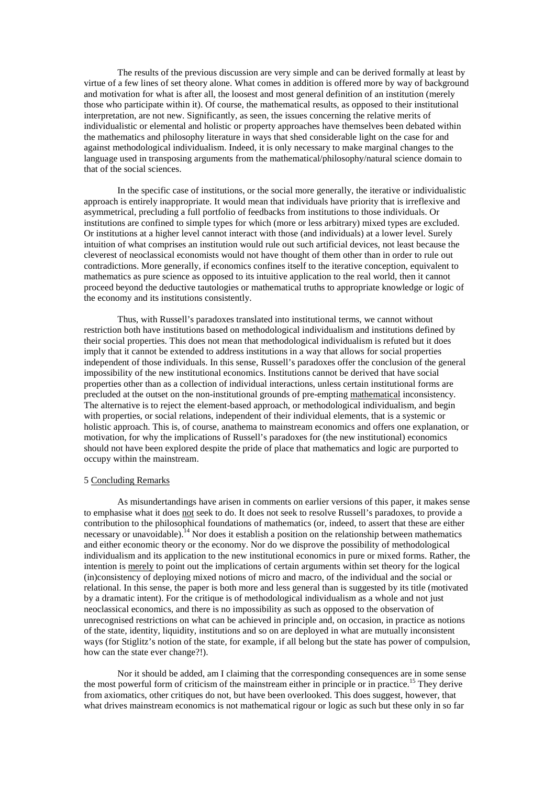The results of the previous discussion are very simple and can be derived formally at least by virtue of a few lines of set theory alone. What comes in addition is offered more by way of background and motivation for what is after all, the loosest and most general definition of an institution (merely those who participate within it). Of course, the mathematical results, as opposed to their institutional interpretation, are not new. Significantly, as seen, the issues concerning the relative merits of individualistic or elemental and holistic or property approaches have themselves been debated within the mathematics and philosophy literature in ways that shed considerable light on the case for and against methodological individualism. Indeed, it is only necessary to make marginal changes to the language used in transposing arguments from the mathematical/philosophy/natural science domain to that of the social sciences.

 In the specific case of institutions, or the social more generally, the iterative or individualistic approach is entirely inappropriate. It would mean that individuals have priority that is irreflexive and asymmetrical, precluding a full portfolio of feedbacks from institutions to those individuals. Or institutions are confined to simple types for which (more or less arbitrary) mixed types are excluded. Or institutions at a higher level cannot interact with those (and individuals) at a lower level. Surely intuition of what comprises an institution would rule out such artificial devices, not least because the cleverest of neoclassical economists would not have thought of them other than in order to rule out contradictions. More generally, if economics confines itself to the iterative conception, equivalent to mathematics as pure science as opposed to its intuitive application to the real world, then it cannot proceed beyond the deductive tautologies or mathematical truths to appropriate knowledge or logic of the economy and its institutions consistently.

 Thus, with Russell's paradoxes translated into institutional terms, we cannot without restriction both have institutions based on methodological individualism and institutions defined by their social properties. This does not mean that methodological individualism is refuted but it does imply that it cannot be extended to address institutions in a way that allows for social properties independent of those individuals. In this sense, Russell's paradoxes offer the conclusion of the general impossibility of the new institutional economics. Institutions cannot be derived that have social properties other than as a collection of individual interactions, unless certain institutional forms are precluded at the outset on the non-institutional grounds of pre-empting mathematical inconsistency. The alternative is to reject the element-based approach, or methodological individualism, and begin with properties, or social relations, independent of their individual elements, that is a systemic or holistic approach. This is, of course, anathema to mainstream economics and offers one explanation, or motivation, for why the implications of Russell's paradoxes for (the new institutional) economics should not have been explored despite the pride of place that mathematics and logic are purported to occupy within the mainstream.

# 5 Concluding Remarks

As misundertandings have arisen in comments on earlier versions of this paper, it makes sense to emphasise what it does not seek to do. It does not seek to resolve Russell's paradoxes, to provide a contribution to the philosophical foundations of mathematics (or, indeed, to assert that these are either necessary or unavoidable).<sup>14</sup> Nor does it establish a position on the relationship between mathematics and either economic theory or the economy. Nor do we disprove the possibility of methodological individualism and its application to the new institutional economics in pure or mixed forms. Rather, the intention is merely to point out the implications of certain arguments within set theory for the logical (in)consistency of deploying mixed notions of micro and macro, of the individual and the social or relational. In this sense, the paper is both more and less general than is suggested by its title (motivated by a dramatic intent). For the critique is of methodological individualism as a whole and not just neoclassical economics, and there is no impossibility as such as opposed to the observation of unrecognised restrictions on what can be achieved in principle and, on occasion, in practice as notions of the state, identity, liquidity, institutions and so on are deployed in what are mutually inconsistent ways (for Stiglitz's notion of the state, for example, if all belong but the state has power of compulsion, how can the state ever change?!).

Nor it should be added, am I claiming that the corresponding consequences are in some sense the most powerful form of criticism of the mainstream either in principle or in practice.<sup>15</sup> They derive from axiomatics, other critiques do not, but have been overlooked. This does suggest, however, that what drives mainstream economics is not mathematical rigour or logic as such but these only in so far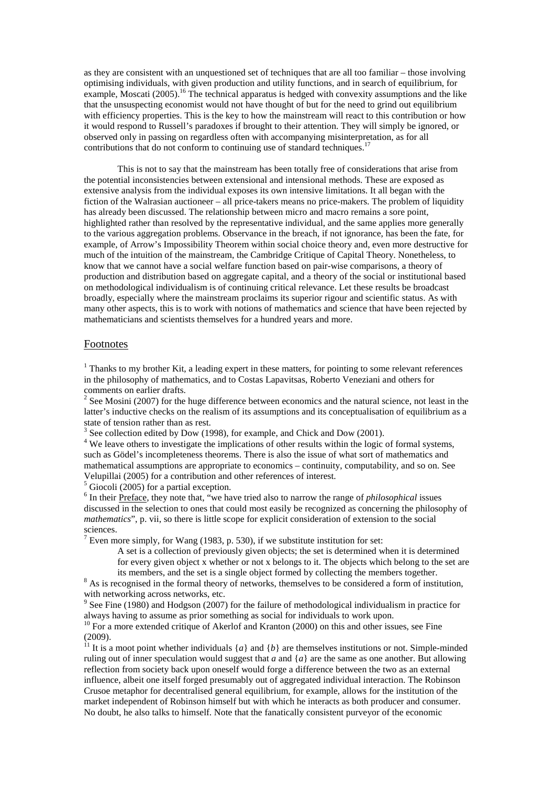as they are consistent with an unquestioned set of techniques that are all too familiar – those involving optimising individuals, with given production and utility functions, and in search of equilibrium, for example, Moscati (2005).<sup>16</sup> The technical apparatus is hedged with convexity assumptions and the like that the unsuspecting economist would not have thought of but for the need to grind out equilibrium with efficiency properties. This is the key to how the mainstream will react to this contribution or how it would respond to Russell's paradoxes if brought to their attention. They will simply be ignored, or observed only in passing on regardless often with accompanying misinterpretation, as for all contributions that do not conform to continuing use of standard techniques.<sup>1</sup>

This is not to say that the mainstream has been totally free of considerations that arise from the potential inconsistencies between extensional and intensional methods. These are exposed as extensive analysis from the individual exposes its own intensive limitations. It all began with the fiction of the Walrasian auctioneer – all price-takers means no price-makers. The problem of liquidity has already been discussed. The relationship between micro and macro remains a sore point, highlighted rather than resolved by the representative individual, and the same applies more generally to the various aggregation problems. Observance in the breach, if not ignorance, has been the fate, for example, of Arrow's Impossibility Theorem within social choice theory and, even more destructive for much of the intuition of the mainstream, the Cambridge Critique of Capital Theory. Nonetheless, to know that we cannot have a social welfare function based on pair-wise comparisons, a theory of production and distribution based on aggregate capital, and a theory of the social or institutional based on methodological individualism is of continuing critical relevance. Let these results be broadcast broadly, especially where the mainstream proclaims its superior rigour and scientific status. As with many other aspects, this is to work with notions of mathematics and science that have been rejected by mathematicians and scientists themselves for a hundred years and more.

# Footnotes

 $1$  Thanks to my brother Kit, a leading expert in these matters, for pointing to some relevant references in the philosophy of mathematics, and to Costas Lapavitsas, Roberto Veneziani and others for comments on earlier drafts.

 $2^{2}$  See Mosini (2007) for the huge difference between economics and the natural science, not least in the latter's inductive checks on the realism of its assumptions and its conceptualisation of equilibrium as a state of tension rather than as rest.

 $3$  See collection edited by Dow (1998), for example, and Chick and Dow (2001).

<sup>4</sup> We leave others to investigate the implications of other results within the logic of formal systems, such as Gödel's incompleteness theorems. There is also the issue of what sort of mathematics and mathematical assumptions are appropriate to economics – continuity, computability, and so on. See Velupillai (2005) for a contribution and other references of interest.

 $<sup>5</sup>$  Giocoli (2005) for a partial exception.</sup>

<sup>6</sup> In their Preface, they note that, "we have tried also to narrow the range of *philosophical* issues discussed in the selection to ones that could most easily be recognized as concerning the philosophy of *mathematics*", p. vii, so there is little scope for explicit consideration of extension to the social sciences.

<sup>7</sup> Even more simply, for Wang (1983, p. 530), if we substitute institution for set:

A set is a collection of previously given objects; the set is determined when it is determined for every given object x whether or not x belongs to it. The objects which belong to the set are its members, and the set is a single object formed by collecting the members together.

 $8$  As is recognised in the formal theory of networks, themselves to be considered a form of institution, with networking across networks, etc.

 $9$  See Fine (1980) and Hodgson (2007) for the failure of methodological individualism in practice for always having to assume as prior something as social for individuals to work upon.

 $10$  For a more extended critique of Akerlof and Kranton (2000) on this and other issues, see Fine  $(2009)$ .<br><sup>11</sup> It is a

It is a moot point whether individuals  $\{a\}$  and  $\{b\}$  are themselves institutions or not. Simple-minded ruling out of inner speculation would suggest that *a* and {*a*} are the same as one another. But allowing reflection from society back upon oneself would forge a difference between the two as an external influence, albeit one itself forged presumably out of aggregated individual interaction. The Robinson Crusoe metaphor for decentralised general equilibrium, for example, allows for the institution of the market independent of Robinson himself but with which he interacts as both producer and consumer. No doubt, he also talks to himself. Note that the fanatically consistent purveyor of the economic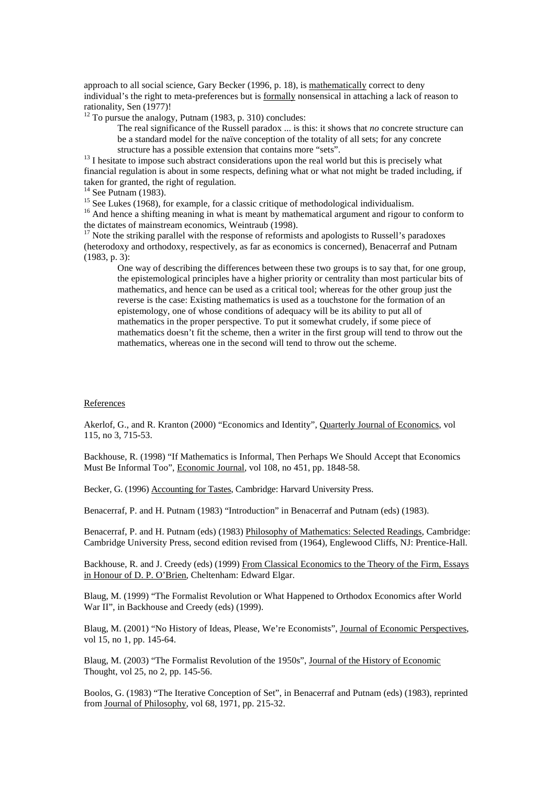approach to all social science, Gary Becker (1996, p. 18), is mathematically correct to deny individual's the right to meta-preferences but is <u>formally</u> nonsensical in attaching a lack of reason to rationality, Sen (1977)!

 $12$  To pursue the analogy, Putnam (1983, p. 310) concludes:

The real significance of the Russell paradox ... is this: it shows that *no* concrete structure can be a standard model for the naïve conception of the totality of all sets; for any concrete structure has a possible extension that contains more "sets".

 $13$  I hesitate to impose such abstract considerations upon the real world but this is precisely what financial regulation is about in some respects, defining what or what not might be traded including, if taken for granted, the right of regulation.

 $14$  See Putnam (1983).

<sup>15</sup> See Lukes (1968), for example, for a classic critique of methodological individualism.

<sup>16</sup> And hence a shifting meaning in what is meant by mathematical argument and rigour to conform to the dictates of mainstream economics, Weintraub (1998).

<sup>17</sup> Note the striking parallel with the response of reformists and apologists to Russell's paradoxes (heterodoxy and orthodoxy, respectively, as far as economics is concerned), Benacerraf and Putnam (1983, p. 3):

One way of describing the differences between these two groups is to say that, for one group, the epistemological principles have a higher priority or centrality than most particular bits of mathematics, and hence can be used as a critical tool; whereas for the other group just the reverse is the case: Existing mathematics is used as a touchstone for the formation of an epistemology, one of whose conditions of adequacy will be its ability to put all of mathematics in the proper perspective. To put it somewhat crudely, if some piece of mathematics doesn't fit the scheme, then a writer in the first group will tend to throw out the mathematics, whereas one in the second will tend to throw out the scheme.

### References

Akerlof, G., and R. Kranton (2000) "Economics and Identity", Quarterly Journal of Economics, vol 115, no 3, 715-53.

Backhouse, R. (1998) "If Mathematics is Informal, Then Perhaps We Should Accept that Economics Must Be Informal Too", Economic Journal, vol 108, no 451, pp. 1848-58.

Becker, G. (1996) Accounting for Tastes, Cambridge: Harvard University Press.

Benacerraf, P. and H. Putnam (1983) "Introduction" in Benacerraf and Putnam (eds) (1983).

Benacerraf, P. and H. Putnam (eds) (1983) Philosophy of Mathematics: Selected Readings, Cambridge: Cambridge University Press, second edition revised from (1964), Englewood Cliffs, NJ: Prentice-Hall.

Backhouse, R. and J. Creedy (eds) (1999) From Classical Economics to the Theory of the Firm, Essays in Honour of D. P. O'Brien, Cheltenham: Edward Elgar.

Blaug, M. (1999) "The Formalist Revolution or What Happened to Orthodox Economics after World War II", in Backhouse and Creedy (eds) (1999).

Blaug, M. (2001) "No History of Ideas, Please, We're Economists", Journal of Economic Perspectives, vol 15, no 1, pp. 145-64.

Blaug, M. (2003) "The Formalist Revolution of the 1950s", Journal of the History of Economic Thought, vol 25, no 2, pp. 145-56.

Boolos, G. (1983) "The Iterative Conception of Set", in Benacerraf and Putnam (eds) (1983), reprinted from Journal of Philosophy, vol 68, 1971, pp. 215-32.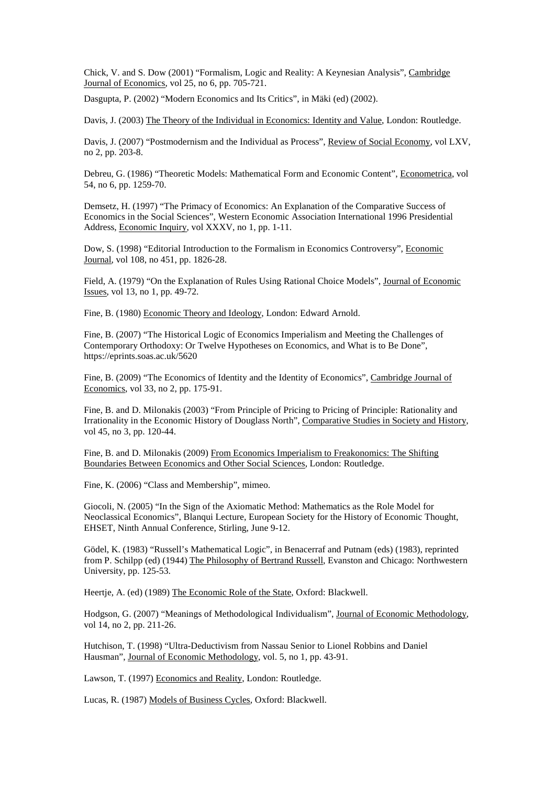Chick, V. and S. Dow (2001) "Formalism, Logic and Reality: A Keynesian Analysis", Cambridge Journal of Economics, vol 25, no 6, pp. 705-721.

Dasgupta, P. (2002) "Modern Economics and Its Critics", in Mäki (ed) (2002).

Davis, J. (2003) The Theory of the Individual in Economics: Identity and Value, London: Routledge.

Davis, J. (2007) "Postmodernism and the Individual as Process", Review of Social Economy, vol LXV, no 2, pp. 203-8.

Debreu, G. (1986) "Theoretic Models: Mathematical Form and Economic Content", Econometrica, vol 54, no 6, pp. 1259-70.

Demsetz, H. (1997) "The Primacy of Economics: An Explanation of the Comparative Success of Economics in the Social Sciences", Western Economic Association International 1996 Presidential Address, Economic Inquiry, vol XXXV, no 1, pp. 1-11.

Dow, S. (1998) "Editorial Introduction to the Formalism in Economics Controversy", Economic Journal, vol 108, no 451, pp. 1826-28.

Field, A. (1979) "On the Explanation of Rules Using Rational Choice Models", Journal of Economic Issues, vol 13, no 1, pp. 49-72.

Fine, B. (1980) Economic Theory and Ideology, London: Edward Arnold.

Fine, B. (2007) "The Historical Logic of Economics Imperialism and Meeting the Challenges of Contemporary Orthodoxy: Or Twelve Hypotheses on Economics, and What is to Be Done", https://eprints.soas.ac.uk/5620

Fine, B. (2009) "The Economics of Identity and the Identity of Economics", Cambridge Journal of Economics, vol 33, no 2, pp. 175-91.

Fine, B. and D. Milonakis (2003) "From Principle of Pricing to Pricing of Principle: Rationality and Irrationality in the Economic History of Douglass North", Comparative Studies in Society and History, vol 45, no 3, pp. 120-44.

Fine, B. and D. Milonakis (2009) From Economics Imperialism to Freakonomics: The Shifting Boundaries Between Economics and Other Social Sciences, London: Routledge.

Fine, K. (2006) "Class and Membership", mimeo.

Giocoli, N. (2005) "In the Sign of the Axiomatic Method: Mathematics as the Role Model for Neoclassical Economics", Blanqui Lecture, European Society for the History of Economic Thought, EHSET, Ninth Annual Conference, Stirling, June 9-12.

Gödel, K. (1983) "Russell's Mathematical Logic", in Benacerraf and Putnam (eds) (1983), reprinted from P. Schilpp (ed) (1944) The Philosophy of Bertrand Russell, Evanston and Chicago: Northwestern University, pp. 125-53.

Heertje, A. (ed) (1989) The Economic Role of the State, Oxford: Blackwell.

Hodgson, G. (2007) "Meanings of Methodological Individualism", Journal of Economic Methodology, vol 14, no 2, pp. 211-26.

Hutchison, T. (1998) "Ultra-Deductivism from Nassau Senior to Lionel Robbins and Daniel Hausman", Journal of Economic Methodology, vol. 5, no 1, pp. 43-91.

Lawson, T. (1997) Economics and Reality, London: Routledge.

Lucas, R. (1987) Models of Business Cycles, Oxford: Blackwell.